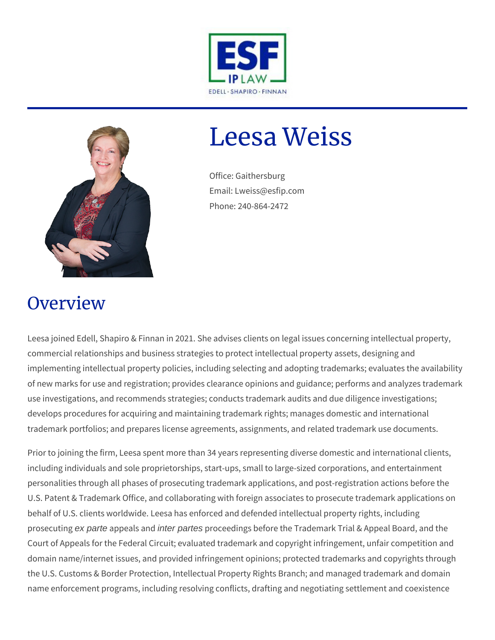



# Leesa Weiss

Office: Gaithersburg Email: Lweiss@esfip.com Phone: 240-864-2472

### **Overview**

Leesa joined Edell, Shapiro & Finnan in 2021. She advises clients on legal issues concerning intellectual property, commercial relationships and business strategies to protect intellectual property assets, designing and implementing intellectual property policies, including selecting and adopting trademarks; evaluates the availability of new marks for use and registration; provides clearance opinions and guidance; performs and analyzes trademark use investigations, and recommends strategies; conducts trademark audits and due diligence investigations; develops procedures for acquiring and maintaining trademark rights; manages domestic and international trademark portfolios; and prepares license agreements, assignments, and related trademark use documents.

Prior to joining the firm, Leesa spent more than 34 years representing diverse domestic and international clients, including individuals and sole proprietorships, start-ups, small to large-sized corporations, and entertainment personalities through all phases of prosecuting trademark applications, and post-registration actions before the U.S. Patent & Trademark Office, and collaborating with foreign associates to prosecute trademark applications on behalf of U.S. clients worldwide. Leesa has enforced and defended intellectual property rights, including prosecuting ex parte appeals and inter partes proceedings before the Trademark Trial & Appeal Board, and the Court of Appeals for the Federal Circuit; evaluated trademark and copyright infringement, unfair competition and domain name/internet issues, and provided infringement opinions; protected trademarks and copyrights through the U.S. Customs & Border Protection, Intellectual Property Rights Branch; and managed trademark and domain name enforcement programs, including resolving conflicts, drafting and negotiating settlement and coexistence